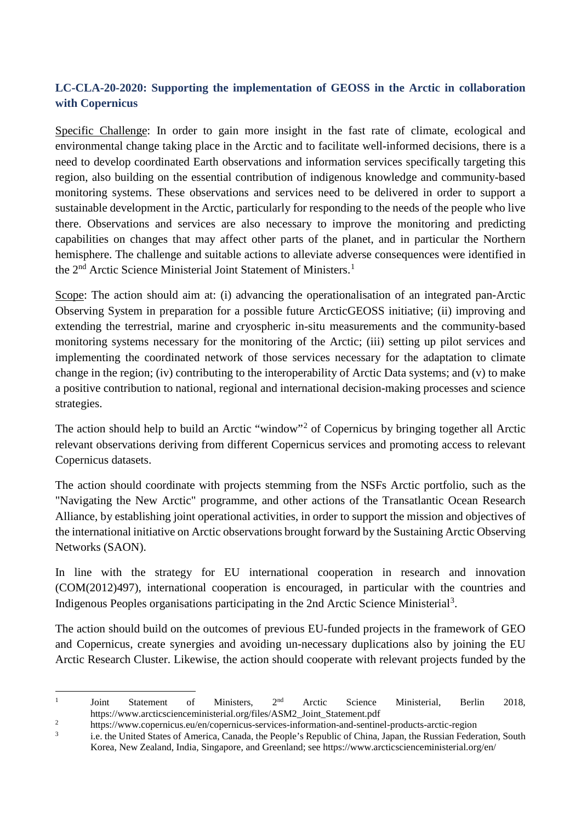## **LC-CLA-20-2020: Supporting the implementation of GEOSS in the Arctic in collaboration with Copernicus**

Specific Challenge: In order to gain more insight in the fast rate of climate, ecological and environmental change taking place in the Arctic and to facilitate well-informed decisions, there is a need to develop coordinated Earth observations and information services specifically targeting this region, also building on the essential contribution of indigenous knowledge and community-based monitoring systems. These observations and services need to be delivered in order to support a sustainable development in the Arctic, particularly for responding to the needs of the people who live there. Observations and services are also necessary to improve the monitoring and predicting capabilities on changes that may affect other parts of the planet, and in particular the Northern hemisphere. The challenge and suitable actions to alleviate adverse consequences were identified in the 2<sup>nd</sup> Arctic Science Ministerial Joint Statement of Ministers.<sup>[1](#page-0-0)</sup>

Scope: The action should aim at: (i) advancing the operationalisation of an integrated pan-Arctic Observing System in preparation for a possible future ArcticGEOSS initiative; (ii) improving and extending the terrestrial, marine and cryospheric in-situ measurements and the community-based monitoring systems necessary for the monitoring of the Arctic; (iii) setting up pilot services and implementing the coordinated network of those services necessary for the adaptation to climate change in the region; (iv) contributing to the interoperability of Arctic Data systems; and (v) to make a positive contribution to national, regional and international decision-making processes and science strategies.

The action should help to build an Arctic "window"[2](#page-0-1) of Copernicus by bringing together all Arctic relevant observations deriving from different Copernicus services and promoting access to relevant Copernicus datasets.

The action should coordinate with projects stemming from the NSFs Arctic portfolio, such as the "Navigating the New Arctic" programme, and other actions of the Transatlantic Ocean Research Alliance, by establishing joint operational activities, in order to support the mission and objectives of the international initiative on Arctic observations brought forward by the Sustaining Arctic Observing Networks (SAON).

In line with the strategy for EU international cooperation in research and innovation (COM(2012)497), international cooperation is encouraged, in particular with the countries and Indigenous Peoples organisations participating in the 2nd Arctic Science Ministerial<sup>[3](#page-0-2)</sup>.

The action should build on the outcomes of previous EU-funded projects in the framework of GEO and Copernicus, create synergies and avoiding un-necessary duplications also by joining the EU Arctic Research Cluster. Likewise, the action should cooperate with relevant projects funded by the

<span id="page-0-0"></span><sup>1</sup> Joint Statement of Ministers, 2<sup>nd</sup> Arctic Science Ministerial, Berlin 2018, https://www.arcticscienceministerial.org/files/ASM2\_Joint\_Statement.pdf

<span id="page-0-1"></span><sup>&</sup>lt;sup>2</sup> https://www.copernicus.eu/en/copernicus-services-information-and-sentinel-products-arctic-region<br><sup>3</sup> i.e. the United States of America. Canada, the Boople's Bopyblic of China, Japan, the Bussian Eader

<span id="page-0-2"></span><sup>3</sup> i.e. the United States of America, Canada, the People's Republic of China, Japan, the Russian Federation, South Korea, New Zealand, India, Singapore, and Greenland; see https://www.arcticscienceministerial.org/en/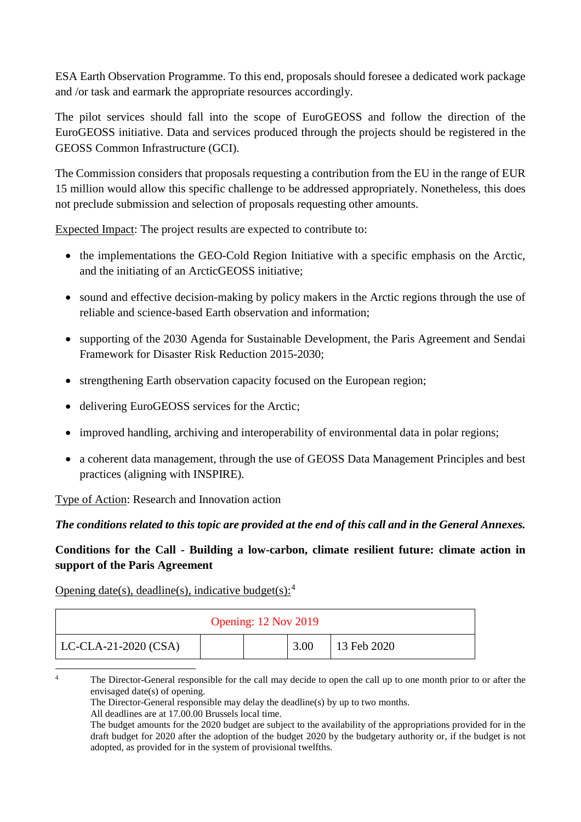ESA Earth Observation Programme. To this end, proposals should foresee a dedicated work package and /or task and earmark the appropriate resources accordingly.

The pilot services should fall into the scope of EuroGEOSS and follow the direction of the EuroGEOSS initiative. Data and services produced through the projects should be registered in the GEOSS Common Infrastructure (GCI).

The Commission considers that proposals requesting a contribution from the EU in the range of EUR 15 million would allow this specific challenge to be addressed appropriately. Nonetheless, this does not preclude submission and selection of proposals requesting other amounts.

Expected Impact: The project results are expected to contribute to:

- the implementations the GEO-Cold Region Initiative with a specific emphasis on the Arctic, and the initiating of an ArcticGEOSS initiative;
- sound and effective decision-making by policy makers in the Arctic regions through the use of reliable and science-based Earth observation and information;
- supporting of the 2030 Agenda for Sustainable Development, the Paris Agreement and Sendai Framework for Disaster Risk Reduction 2015-2030;
- strengthening Earth observation capacity focused on the European region;
- delivering EuroGEOSS services for the Arctic;
- improved handling, archiving and interoperability of environmental data in polar regions;
- a coherent data management, through the use of GEOSS Data Management Principles and best practices (aligning with INSPIRE).

Type of Action: Research and Innovation action

## *The conditions related to this topic are provided at the end of this call and in the General Annexes.*

## **Conditions for the Call - Building a low-carbon, climate resilient future: climate action in support of the Paris Agreement**

Opening date(s), deadline(s), indicative budget(s):  $4$ 

| Opening: 12 Nov 2019 |  |      |             |  |  |  |
|----------------------|--|------|-------------|--|--|--|
| LC-CLA-21-2020 (CSA) |  | 3.00 | 13 Feb 2020 |  |  |  |

<span id="page-1-0"></span>

All deadlines are at 17.00.00 Brussels local time.

<sup>&</sup>lt;sup>4</sup> The Director-General responsible for the call may decide to open the call up to one month prior to or after the envisaged date(s) of opening.

The Director-General responsible may delay the deadline(s) by up to two months.

The budget amounts for the 2020 budget are subject to the availability of the appropriations provided for in the draft budget for 2020 after the adoption of the budget 2020 by the budgetary authority or, if the budget is not adopted, as provided for in the system of provisional twelfths.